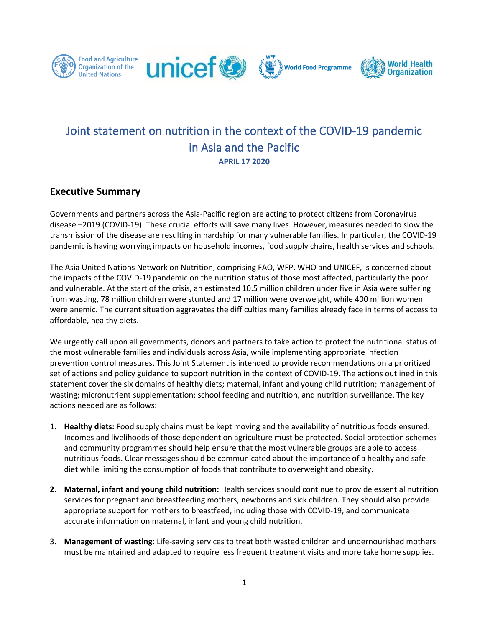









# Joint statement on nutrition in the context of the COVID-19 pandemic in Asia and the Pacific **APRIL 17 2020**

### **Executive Summary**

Governments and partners across the Asia-Pacific region are acting to protect citizens from Coronavirus disease –2019 (COVID-19). These crucial efforts will save many lives. However, measures needed to slow the transmission of the disease are resulting in hardship for many vulnerable families. In particular, the COVID-19 pandemic is having worrying impacts on household incomes, food supply chains, health services and schools.

The Asia United Nations Network on Nutrition, comprising FAO, WFP, WHO and UNICEF, is concerned about the impacts of the COVID-19 pandemic on the nutrition status of those most affected, particularly the poor and vulnerable. At the start of the crisis, an estimated 10.5 million children under five in Asia were suffering from wasting, 78 million children were stunted and 17 million were overweight, while 400 million women were anemic. The current situation aggravates the difficulties many families already face in terms of access to affordable, healthy diets.

We urgently call upon all governments, donors and partners to take action to protect the nutritional status of the most vulnerable families and individuals across Asia, while implementing appropriate infection prevention control measures. This Joint Statement is intended to provide recommendations on a prioritized set of actions and policy guidance to support nutrition in the context of COVID-19. The actions outlined in this statement cover the six domains of healthy diets; maternal, infant and young child nutrition; management of wasting; micronutrient supplementation; school feeding and nutrition, and nutrition surveillance. The key actions needed are as follows:

- 1. **Healthy diets:** Food supply chains must be kept moving and the availability of nutritious foods ensured. Incomes and livelihoods of those dependent on agriculture must be protected. Social protection schemes and community programmes should help ensure that the most vulnerable groups are able to access nutritious foods. Clear messages should be communicated about the importance of a healthy and safe diet while limiting the consumption of foods that contribute to overweight and obesity.
- **2. Maternal, infant and young child nutrition:** Health services should continue to provide essential nutrition services for pregnant and breastfeeding mothers, newborns and sick children. They should also provide appropriate support for mothers to breastfeed, including those with COVID-19, and communicate accurate information on maternal, infant and young child nutrition.
- 3. **Management of wasting**: Life-saving services to treat both wasted children and undernourished mothers must be maintained and adapted to require less frequent treatment visits and more take home supplies.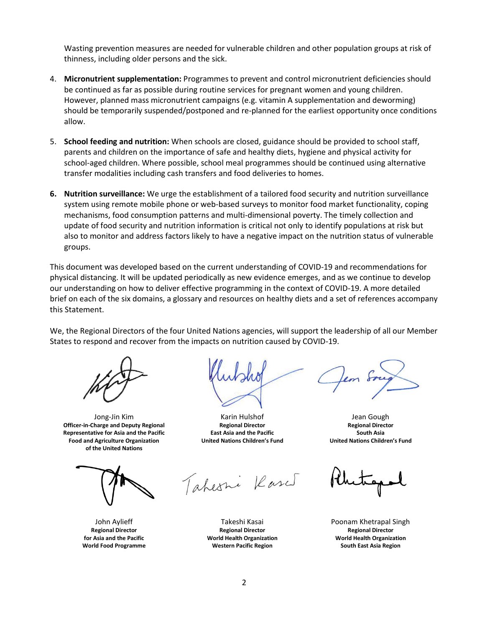Wasting prevention measures are needed for vulnerable children and other population groups at risk of thinness, including older persons and the sick.

- 4. **Micronutrient supplementation:** Programmes to prevent and control micronutrient deficiencies should be continued as far as possible during routine services for pregnant women and young children. However, planned mass micronutrient campaigns (e.g. vitamin A supplementation and deworming) should be temporarily suspended/postponed and re-planned for the earliest opportunity once conditions allow.
- 5. **School feeding and nutrition:** When schools are closed, guidance should be provided to school staff, parents and children on the importance of safe and healthy diets, hygiene and physical activity for school-aged children. Where possible, school meal programmes should be continued using alternative transfer modalities including cash transfers and food deliveries to homes.
- **6. Nutrition surveillance:** We urge the establishment of a tailored food security and nutrition surveillance system using remote mobile phone or web-based surveys to monitor food market functionality, coping mechanisms, food consumption patterns and multi-dimensional poverty. The timely collection and update of food security and nutrition information is critical not only to identify populations at risk but also to monitor and address factors likely to have a negative impact on the nutrition status of vulnerable groups.

This document was developed based on the current understanding of COVID-19 and recommendations for physical distancing. It will be updated periodically as new evidence emerges, and as we continue to develop our understanding on how to deliver effective programming in the context of COVID-19. A more detailed brief on each of the six domains, a glossary and resources on healthy diets and a set of references accompany this Statement.

We, the Regional Directors of the four United Nations agencies, will support the leadership of all our Member States to respond and recover from the impacts on nutrition caused by COVID-19.

Jong-Jin Kim **Officer-in-Charge and Deputy Regional Representative for Asia and the Pacific Food and Agriculture Organization of the United Nations**

John Aylieff **Regional Director for Asia and the Pacific World Food Programme**

Karin Hulshof **Regional Director East Asia and the Pacific United Nations Children's Fund**

Jean Gough **Regional Director South Asia United Nations Children's Fund**

Poonam Khetrapal Singh **Regional Director World Health Organization South East Asia Region**

**Regional Director World Health Organization Western Pacific Region**

Takeshi Kasai

Tahesni Kased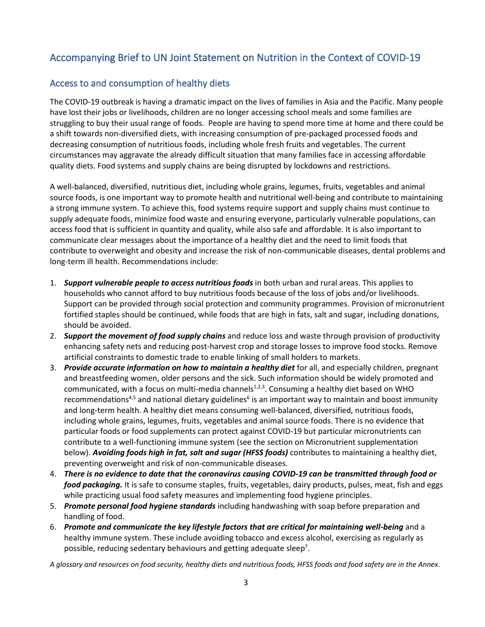# Accompanying Brief to UN Joint Statement on Nutrition in the Context of COVID-19

### Access to and consumption of healthy diets

The COVID-19 outbreak is having a dramatic impact on the lives of families in Asia and the Pacific. Many people have lost their jobs or livelihoods, children are no longer accessing school meals and some families are struggling to buy their usual range of foods. People are having to spend more time at home and there could be a shift towards non-diversified diets, with increasing consumption of pre-packaged processed foods and decreasing consumption of nutritious foods, including whole fresh fruits and vegetables. The current circumstances may aggravate the already difficult situation that many families face in accessing affordable quality diets. Food systems and supply chains are being disrupted by lockdowns and restrictions.

A well-balanced, diversified, nutritious diet, including whole grains, legumes, fruits, vegetables and animal source foods, is one important way to promote health and nutritional well-being and contribute to maintaining a strong immune system. To achieve this, food systems require support and supply chains must continue to supply adequate foods, minimize food waste and ensuring everyone, particularly vulnerable populations, can access food that is sufficient in quantity and quality, while also safe and affordable. It is also important to communicate clear messages about the importance of a healthy diet and the need to limit foods that contribute to overweight and obesity and increase the risk of non-communicable diseases, dental problems and long-term ill health. Recommendations include:

- 1. *Support vulnerable people to access nutritious foods* in both urban and rural areas. This applies to households who cannot afford to buy nutritious foods because of the loss of jobs and/or livelihoods. Support can be provided through social protection and community programmes. Provision of micronutrient fortified staples should be continued, while foods that are high in fats, salt and sugar, including donations, should be avoided.
- 2. *Support the movement of food supply chains* and reduce loss and waste through provision of productivity enhancing safety nets and reducing post-harvest crop and storage losses to improve food stocks. Remove artificial constraints to domestic trade to enable linking of small holders to markets.
- 3. *Provide accurate information on how to maintain a healthy diet* for all, and especially children, pregnant and breastfeeding women, older persons and the sick. Such information should be widely promoted and communicated, with a focus on multi-media channels<sup>1,2,3</sup>. Consuming a healthy diet based on WHO recommendations<sup>4,5</sup> and national dietary guidelines<sup>6</sup> is an important way to maintain and boost immunity and long-term health. A healthy diet means consuming well-balanced, diversified, nutritious foods, including whole grains, legumes, fruits, vegetables and animal source foods. There is no evidence that particular foods or food supplements can protect against COVID-19 but particular micronutrients can contribute to a well-functioning immune system (see the section on Micronutrient supplementation below). *Avoiding foods high in fat, salt and sugar (HFSS foods)* contributes to maintaining a healthy diet, preventing overweight and risk of non-communicable diseases.
- 4. *There is no evidence to date that the coronavirus causing COVID-19 can be transmitted through food or food packaging.* It is safe to consume staples, fruits, vegetables, dairy products, pulses, meat, fish and eggs while practicing usual food safety measures and implementing food hygiene principles.
- 5. *Promote personal food hygiene standards* including handwashing with soap before preparation and handling of food.
- 6. *Promote and communicate the key lifestyle factors that are critical for maintaining well-being* and a healthy immune system. These include avoiding tobacco and excess alcohol, exercising as regularly as possible, reducing sedentary behaviours and getting adequate sleep<sup>7</sup>.

*A glossary and resources on food security, healthy diets and nutritious foods, HFSS foods and food safety are in the Annex.*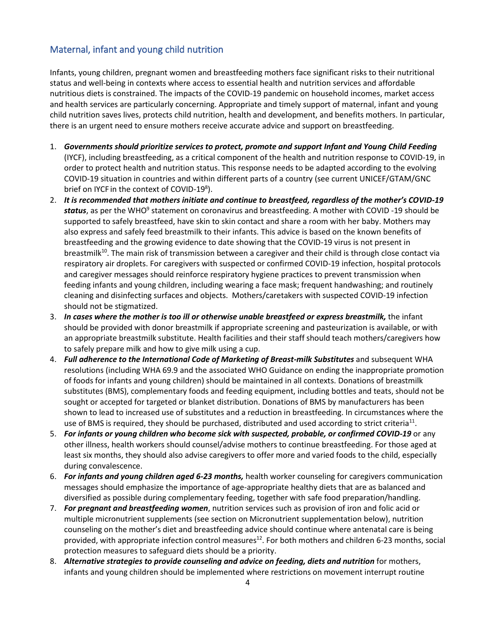## Maternal, infant and young child nutrition

Infants, young children, pregnant women and breastfeeding mothers face significant risks to their nutritional status and well-being in contexts where access to essential health and nutrition services and affordable nutritious diets is constrained. The impacts of the COVID-19 pandemic on household incomes, market access and health services are particularly concerning. Appropriate and timely support of maternal, infant and young child nutrition saves lives, protects child nutrition, health and development, and benefits mothers. In particular, there is an urgent need to ensure mothers receive accurate advice and support on breastfeeding.

- 1. *Governments should prioritize services to protect, promote and support Infant and Young Child Feeding* (IYCF), including breastfeeding, as a critical component of the health and nutrition response to COVID-19, in order to protect health and nutrition status. This response needs to be adapted according to the evolving COVID-19 situation in countries and within different parts of a country (see current UNICEF/GTAM/GNC brief on IYCF in the context of COVID-19<sup>8</sup>).
- 2. *It is recommended that mothers initiate and continue to breastfeed, regardless of the mother's COVID-19*  status, as per the WHO<sup>9</sup> statement on coronavirus and breastfeeding. A mother with COVID -19 should be supported to safely breastfeed, have skin to skin contact and share a room with her baby. Mothers may also express and safely feed breastmilk to their infants. This advice is based on the known benefits of breastfeeding and the growing evidence to date showing that the COVID-19 virus is not present in breastmilk<sup>10</sup>. The main risk of transmission between a caregiver and their child is through close contact via respiratory air droplets. For caregivers with suspected or confirmed COVID-19 infection, hospital protocols and caregiver messages should reinforce respiratory hygiene practices to prevent transmission when feeding infants and young children, including wearing a face mask; frequent handwashing; and routinely cleaning and disinfecting surfaces and objects. Mothers/caretakers with suspected COVID-19 infection should not be stigmatized.
- 3. *In cases where the mother is too ill or otherwise unable breastfeed or express breastmilk,* the infant should be provided with donor breastmilk if appropriate screening and pasteurization is available, or with an appropriate breastmilk substitute. Health facilities and their staff should teach mothers/caregivers how to safely prepare milk and how to give milk using a cup.
- 4. *Full adherence to the International Code of Marketing of Breast-milk Substitutes* and subsequent WHA resolutions (including WHA 69.9 and the associated WHO Guidance on ending the inappropriate promotion of foods for infants and young children) should be maintained in all contexts. Donations of breastmilk substitutes (BMS), complementary foods and feeding equipment, including bottles and teats, should not be sought or accepted for targeted or blanket distribution. Donations of BMS by manufacturers has been shown to lead to increased use of substitutes and a reduction in breastfeeding. In circumstances where the use of BMS is required, they should be purchased, distributed and used according to strict criteria<sup>11</sup>.
- 5. *For infants or young children who become sick with suspected, probable, or confirmed COVID-19* or any other illness, health workers should counsel/advise mothers to continue breastfeeding. For those aged at least six months, they should also advise caregivers to offer more and varied foods to the child, especially during convalescence.
- 6. *For infants and young children aged 6-23 months,* health worker counseling for caregivers communication messages should emphasize the importance of age-appropriate healthy diets that are as balanced and diversified as possible during complementary feeding, together with safe food preparation/handling.
- 7. *For pregnant and breastfeeding women*, nutrition services such as provision of iron and folic acid or multiple micronutrient supplements (see section on Micronutrient supplementation below), nutrition counseling on the mother's diet and breastfeeding advice should continue where antenatal care is being provided, with appropriate infection control measures<sup>12</sup>. For both mothers and children 6-23 months, social protection measures to safeguard diets should be a priority.
- 8. *Alternative strategies to provide counseling and advice on feeding, diets and nutrition* for mothers, infants and young children should be implemented where restrictions on movement interrupt routine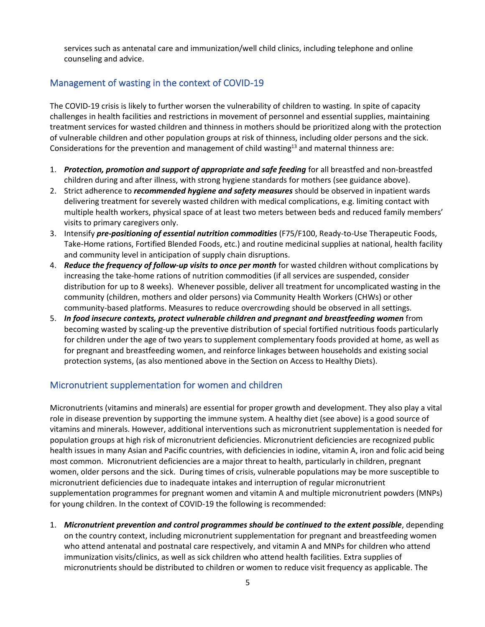services such as antenatal care and immunization/well child clinics, including telephone and online counseling and advice.

### Management of wasting in the context of COVID-19

The COVID-19 crisis is likely to further worsen the vulnerability of children to wasting. In spite of capacity challenges in health facilities and restrictions in movement of personnel and essential supplies, maintaining treatment services for wasted children and thinness in mothers should be prioritized along with the protection of vulnerable children and other population groups at risk of thinness, including older persons and the sick. Considerations for the prevention and management of child wasting<sup>13</sup> and maternal thinness are:

- 1. *Protection, promotion and support of appropriate and safe feeding* for all breastfed and non-breastfed children during and after illness, with strong hygiene standards for mothers (see guidance above).
- 2. Strict adherence to *recommended hygiene and safety measures* should be observed in inpatient wards delivering treatment for severely wasted children with medical complications, e.g. limiting contact with multiple health workers, physical space of at least two meters between beds and reduced family members' visits to primary caregivers only.
- 3. Intensify *pre-positioning of essential nutrition commodities* (F75/F100, Ready-to-Use Therapeutic Foods, Take-Home rations, Fortified Blended Foods, etc.) and routine medicinal supplies at national, health facility and community level in anticipation of supply chain disruptions.
- 4. *Reduce the frequency of follow-up visits to once per month* for wasted children without complications by increasing the take-home rations of nutrition commodities (if all services are suspended, consider distribution for up to 8 weeks). Whenever possible, deliver all treatment for uncomplicated wasting in the community (children, mothers and older persons) via Community Health Workers (CHWs) or other community-based platforms. Measures to reduce overcrowding should be observed in all settings.
- 5. *In food insecure contexts, protect vulnerable children and pregnant and breastfeeding women* from becoming wasted by scaling-up the preventive distribution of special fortified nutritious foods particularly for children under the age of two years to supplement complementary foods provided at home, as well as for pregnant and breastfeeding women, and reinforce linkages between households and existing social protection systems, (as also mentioned above in the Section on Access to Healthy Diets).

#### Micronutrient supplementation for women and children

Micronutrients (vitamins and minerals) are essential for proper growth and development. They also play a vital role in disease prevention by supporting the immune system. A healthy diet (see above) is a good source of vitamins and minerals. However, additional interventions such as micronutrient supplementation is needed for population groups at high risk of micronutrient deficiencies. Micronutrient deficiencies are recognized public health issues in many Asian and Pacific countries, with deficiencies in iodine, vitamin A, iron and folic acid being most common. Micronutrient deficiencies are a major threat to health, particularly in children, pregnant women, older persons and the sick. During times of crisis, vulnerable populations may be more susceptible to micronutrient deficiencies due to inadequate intakes and interruption of regular micronutrient supplementation programmes for pregnant women and vitamin A and multiple micronutrient powders (MNPs) for young children. In the context of COVID-19 the following is recommended:

1. *Micronutrient prevention and control programmes should be continued to the extent possible*, depending on the country context, including micronutrient supplementation for pregnant and breastfeeding women who attend antenatal and postnatal care respectively, and vitamin A and MNPs for children who attend immunization visits/clinics, as well as sick children who attend health facilities. Extra supplies of micronutrients should be distributed to children or women to reduce visit frequency as applicable. The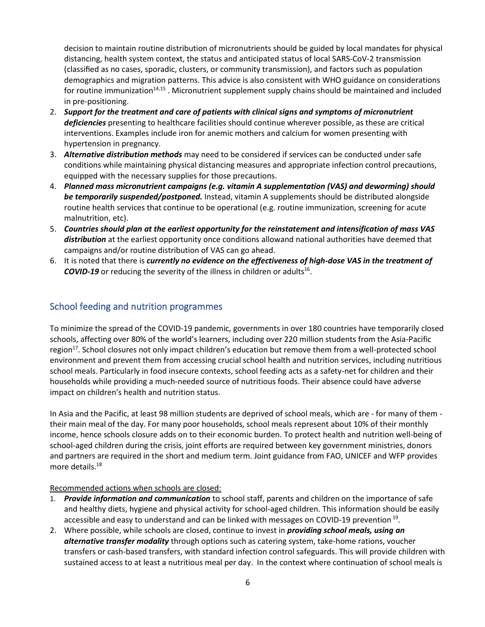decision to maintain routine distribution of micronutrients should be guided by local mandates for physical distancing, health system context, the status and anticipated status of local SARS-CoV-2 transmission (classified as no cases, sporadic, clusters, or community transmission), and factors such as population demographics and migration patterns. This advice is also consistent with WHO guidance on considerations for routine immunization<sup>14,15</sup>. Micronutrient supplement supply chains should be maintained and included in pre-positioning.

- 2. *Support for the treatment and care of patients with clinical signs and symptoms of micronutrient deficiencies* presenting to healthcare facilities should continue wherever possible, as these are critical interventions. Examples include iron for anemic mothers and calcium for women presenting with hypertension in pregnancy.
- 3. *Alternative distribution methods* may need to be considered if services can be conducted under safe conditions while maintaining physical distancing measures and appropriate infection control precautions, equipped with the necessary supplies for those precautions.
- 4. *Planned mass micronutrient campaigns (e.g. vitamin A supplementation (VAS) and deworming) should be temporarily suspended/postponed.* Instead, vitamin A supplements should be distributed alongside routine health services that continue to be operational (e.g. routine immunization, screening for acute malnutrition, etc).
- 5. *Countries should plan at the earliest opportunity for the reinstatement and intensification of mass VAS*  distribution at the earliest opportunity once conditions allowand national authorities have deemed that campaigns and/or routine distribution of VAS can go ahead.
- 6. It is noted that there is *currently no evidence on the effectiveness of high-dose VAS in the treatment of*  COVID-19 or reducing the severity of the illness in children or adults<sup>16</sup>.

#### School feeding and nutrition programmes

To minimize the spread of the COVID-19 pandemic, governments in over 180 countries have temporarily closed schools, affecting over 80% of the world's learners, including over 220 million students from the Asia-Pacific region<sup>17</sup>. School closures not only impact children's education but remove them from a well-protected school environment and prevent them from accessing crucial school health and nutrition services, including nutritious school meals. Particularly in food insecure contexts, school feeding acts as a safety-net for children and their households while providing a much-needed source of nutritious foods. Their absence could have adverse impact on children's health and nutrition status.

In Asia and the Pacific, at least 98 million students are deprived of school meals, which are - for many of them their main meal of the day. For many poor households, school meals represent about 10% of their monthly income, hence schools closure adds on to their economic burden. To protect health and nutrition well-being of school-aged children during the crisis, joint efforts are required between key government ministries, donors and partners are required in the short and medium term. Joint guidance from FAO, UNICEF and WFP provides more details.<sup>18</sup>

#### Recommended actions when schools are closed:

- 1. *Provide information and communication* to school staff, parents and children on the importance of safe and healthy diets, hygiene and physical activity for school-aged children. This information should be easily accessible and easy to understand and can be linked with messages on COVID-19 prevention <sup>19</sup>.
- 2. Where possible, while schools are closed, continue to invest in *providing school meals, using an alternative transfer modality* through options such as catering system, take-home rations, voucher transfers or cash-based transfers, with standard infection control safeguards. This will provide children with sustained access to at least a nutritious meal per day. In the context where continuation of school meals is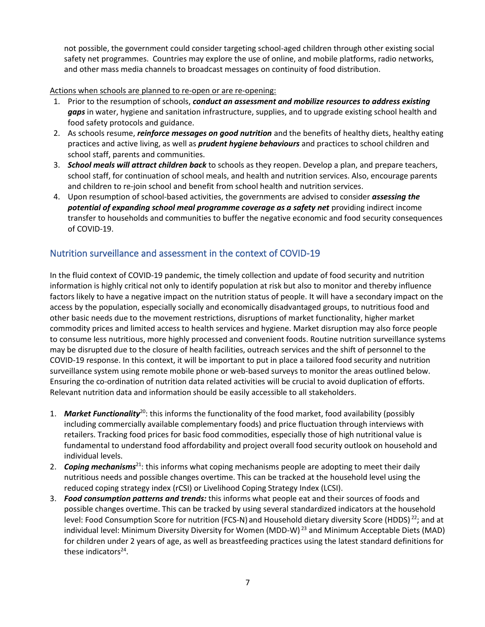not possible, the government could consider targeting school-aged children through other existing social safety net programmes. Countries may explore the use of online, and mobile platforms, radio networks, and other mass media channels to broadcast messages on continuity of food distribution.

Actions when schools are planned to re-open or are re-opening:

- 1. Prior to the resumption of schools, *conduct an assessment and mobilize resources to address existing gaps* in water, hygiene and sanitation infrastructure, supplies, and to upgrade existing school health and food safety protocols and guidance.
- 2. As schools resume, *reinforce messages on good nutrition* and the benefits of healthy diets, healthy eating practices and active living, as well as *prudent hygiene behaviours* and practices to school children and school staff, parents and communities.
- 3. *School meals will attract children back* to schools as they reopen. Develop a plan, and prepare teachers, school staff, for continuation of school meals, and health and nutrition services. Also, encourage parents and children to re-join school and benefit from school health and nutrition services.
- 4. Upon resumption of school-based activities, the governments are advised to consider *assessing the potential of expanding school meal programme coverage as a safety net* providing indirect income transfer to households and communities to buffer the negative economic and food security consequences of COVID-19.

### Nutrition surveillance and assessment in the context of COVID-19

In the fluid context of COVID-19 pandemic, the timely collection and update of food security and nutrition information is highly critical not only to identify population at risk but also to monitor and thereby influence factors likely to have a negative impact on the nutrition status of people. It will have a secondary impact on the access by the population, especially socially and economically disadvantaged groups, to nutritious food and other basic needs due to the movement restrictions, disruptions of market functionality, higher market commodity prices and limited access to health services and hygiene. Market disruption may also force people to consume less nutritious, more highly processed and convenient foods. Routine nutrition surveillance systems may be disrupted due to the closure of health facilities, outreach services and the shift of personnel to the COVID-19 response. In this context, it will be important to put in place a tailored food security and nutrition surveillance system using remote mobile phone or web-based surveys to monitor the areas outlined below. Ensuring the co-ordination of nutrition data related activities will be crucial to avoid duplication of efforts. Relevant nutrition data and information should be easily accessible to all stakeholders.

- 1. *Market Functionality*<sup>20</sup>: this informs the functionality of the food market, food availability (possibly including commercially available complementary foods) and price fluctuation through interviews with retailers. Tracking food prices for basic food commodities, especially those of high nutritional value is fundamental to understand food affordability and project overall food security outlook on household and individual levels.
- 2. *Coping mechanisms*<sup>21</sup>: this informs what coping mechanisms people are adopting to meet their daily nutritious needs and possible changes overtime. This can be tracked at the household level using the reduced coping strategy index (rCSI) or Livelihood Coping Strategy Index (LCSI).
- 3. *Food consumption patterns and trends:* this informs what people eat and their sources of foods and possible changes overtime. This can be tracked by using several standardized indicators at the household level: Food Consumption Score for nutrition (FCS-N) and Household dietary diversity Score (HDDS)<sup>22</sup>; and at individual level: Minimum Diversity Diversity for Women (MDD-W) <sup>23</sup> and Minimum Acceptable Diets (MAD) for children under 2 years of age, as well as breastfeeding practices using the latest standard definitions for these indicators<sup>24</sup>.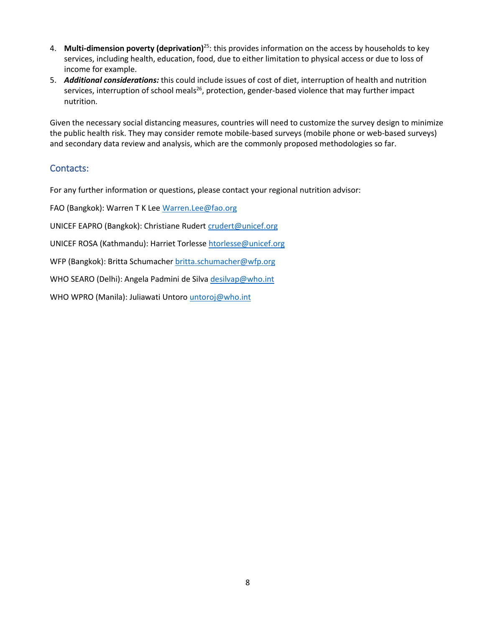- 4. **Multi-dimension poverty (deprivation)**<sup>25</sup>: this provides information on the access by households to key services, including health, education, food, due to either limitation to physical access or due to loss of income for example.
- 5. *Additional considerations:* this could include issues of cost of diet, interruption of health and nutrition services, interruption of school meals<sup>26</sup>, protection, gender-based violence that may further impact nutrition.

Given the necessary social distancing measures, countries will need to customize the survey design to minimize the public health risk. They may consider remote mobile-based surveys (mobile phone or web-based surveys) and secondary data review and analysis, which are the commonly proposed methodologies so far.

### Contacts:

For any further information or questions, please contact your regional nutrition advisor:

FAO (Bangkok): Warren T K Lee [Warren.Lee@fao.org](mailto:Warren.Lee@fao.org)

UNICEF EAPRO (Bangkok): Christiane Rudert [crudert@unicef.org](mailto:crudert@unicef.org)

UNICEF ROSA (Kathmandu): Harriet Torlesse [htorlesse@unicef.org](mailto:htorlesse@unicef.org)

WFP (Bangkok): Britta Schumacher [britta.schumacher@wfp.org](mailto:britta.schumacher@wfp.org)

WHO SEARO (Delhi): Angela Padmini de Silva [desilvap@who.int](mailto:desilvap@who.int)

WHO WPRO (Manila): Juliawati Untoro [untoroj@who.int](mailto:untoroj@who.int)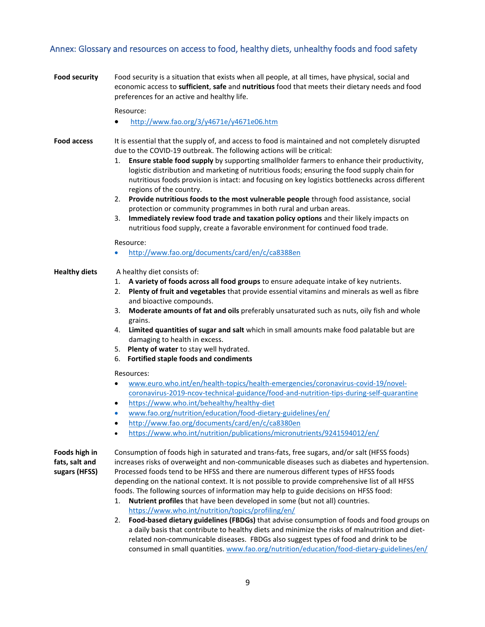### Annex: Glossary and resources on access to food, healthy diets, unhealthy foods and food safety

| <b>Food security</b>                             | Food security is a situation that exists when all people, at all times, have physical, social and<br>economic access to sufficient, safe and nutritious food that meets their dietary needs and food<br>preferences for an active and healthy life.                                                                                                                                                                                                                                                                                                                                                                                                                                                                                                                                                                                                                  |
|--------------------------------------------------|----------------------------------------------------------------------------------------------------------------------------------------------------------------------------------------------------------------------------------------------------------------------------------------------------------------------------------------------------------------------------------------------------------------------------------------------------------------------------------------------------------------------------------------------------------------------------------------------------------------------------------------------------------------------------------------------------------------------------------------------------------------------------------------------------------------------------------------------------------------------|
|                                                  | Resource:                                                                                                                                                                                                                                                                                                                                                                                                                                                                                                                                                                                                                                                                                                                                                                                                                                                            |
|                                                  | http://www.fao.org/3/y4671e/y4671e06.htm                                                                                                                                                                                                                                                                                                                                                                                                                                                                                                                                                                                                                                                                                                                                                                                                                             |
| <b>Food access</b>                               | It is essential that the supply of, and access to food is maintained and not completely disrupted<br>due to the COVID-19 outbreak. The following actions will be critical:<br>Ensure stable food supply by supporting smallholder farmers to enhance their productivity,<br>1.<br>logistic distribution and marketing of nutritious foods; ensuring the food supply chain for<br>nutritious foods provision is intact: and focusing on key logistics bottlenecks across different<br>regions of the country.<br>Provide nutritious foods to the most vulnerable people through food assistance, social<br>2.<br>protection or community programmes in both rural and urban areas.<br>Immediately review food trade and taxation policy options and their likely impacts on<br>3.<br>nutritious food supply, create a favorable environment for continued food trade. |
|                                                  | Resource:<br>http://www.fao.org/documents/card/en/c/ca8388en<br>$\bullet$                                                                                                                                                                                                                                                                                                                                                                                                                                                                                                                                                                                                                                                                                                                                                                                            |
|                                                  |                                                                                                                                                                                                                                                                                                                                                                                                                                                                                                                                                                                                                                                                                                                                                                                                                                                                      |
| <b>Healthy diets</b>                             | A healthy diet consists of:<br>A variety of foods across all food groups to ensure adequate intake of key nutrients.<br>1.<br>Plenty of fruit and vegetables that provide essential vitamins and minerals as well as fibre<br>2.<br>and bioactive compounds.<br>Moderate amounts of fat and oils preferably unsaturated such as nuts, oily fish and whole<br>3.<br>grains.<br>Limited quantities of sugar and salt which in small amounts make food palatable but are<br>4.<br>damaging to health in excess.<br>5. Plenty of water to stay well hydrated.<br>Fortified staple foods and condiments<br>6.                                                                                                                                                                                                                                                             |
|                                                  | Resources:<br>www.euro.who.int/en/health-topics/health-emergencies/coronavirus-covid-19/novel-<br>$\bullet$<br>coronavirus-2019-ncov-technical-guidance/food-and-nutrition-tips-during-self-quarantine<br>https://www.who.int/behealthy/healthy-diet<br>$\bullet$<br>www.fao.org/nutrition/education/food-dietary-guidelines/en/<br>http://www.fao.org/documents/card/en/c/ca8380en<br>https://www.who.int/nutrition/publications/micronutrients/9241594012/en/                                                                                                                                                                                                                                                                                                                                                                                                      |
|                                                  |                                                                                                                                                                                                                                                                                                                                                                                                                                                                                                                                                                                                                                                                                                                                                                                                                                                                      |
| Foods high in<br>fats, salt and<br>sugars (HFSS) | Consumption of foods high in saturated and trans-fats, free sugars, and/or salt (HFSS foods)<br>increases risks of overweight and non-communicable diseases such as diabetes and hypertension.<br>Processed foods tend to be HFSS and there are numerous different types of HFSS foods<br>depending on the national context. It is not possible to provide comprehensive list of all HFSS<br>foods. The following sources of information may help to guide decisions on HFSS food:<br>Nutrient profiles that have been developed in some (but not all) countries.<br>1.<br>https://www.who.int/nutrition/topics/profiling/en/                                                                                                                                                                                                                                        |

2. **Food-based dietary guidelines (FBDGs)** that advise consumption of foods and food groups on a daily basis that contribute to healthy diets and minimize the risks of malnutrition and dietrelated non-communicable diseases. FBDGs also suggest types of food and drink to be consumed in small quantities. [www.fao.org/nutrition/education/food-dietary-guidelines/en/](http://www.fao.org/nutrition/education/food-dietary-guidelines/en/)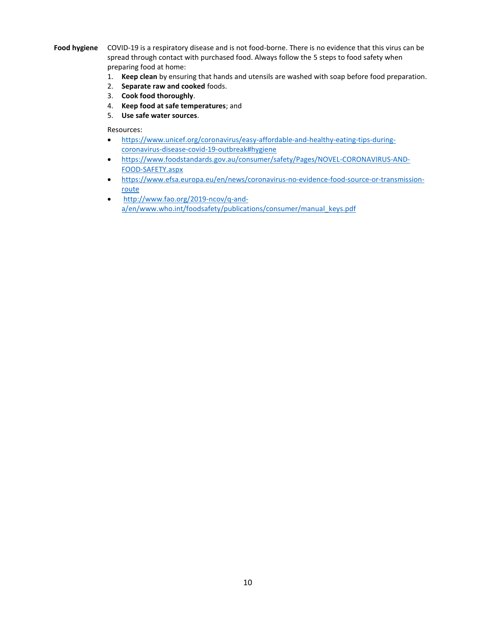**Food hygiene** COVID-19 is a respiratory disease and is not food-borne. There is no evidence that this virus can be spread through contact with purchased food. Always follow the 5 steps to food safety when preparing food at home:

- 1. **Keep clean** by ensuring that hands and utensils are washed with soap before food preparation.
- 2. **Separate raw and cooked** foods.
- 3. **Cook food thoroughly**.
- 4. **Keep food at safe temperatures**; and
- 5. **Use safe water sources**.

Resources:

- [https://www.unicef.org/coronavirus/easy-affordable-and-healthy-eating-tips-during](https://www.unicef.org/coronavirus/easy-affordable-and-healthy-eating-tips-during-coronavirus-disease-covid-19-outbreak#hygiene)[coronavirus-disease-covid-19-outbreak#hygiene](https://www.unicef.org/coronavirus/easy-affordable-and-healthy-eating-tips-during-coronavirus-disease-covid-19-outbreak#hygiene)
- [https://www.foodstandards.gov.au/consumer/safety/Pages/NOVEL-CORONAVIRUS-AND-](https://www.foodstandards.gov.au/consumer/safety/Pages/NOVEL-CORONAVIRUS-AND-FOOD-SAFETY.aspx)[FOOD-SAFETY.aspx](https://www.foodstandards.gov.au/consumer/safety/Pages/NOVEL-CORONAVIRUS-AND-FOOD-SAFETY.aspx)
- [https://www.efsa.europa.eu/en/news/coronavirus-no-evidence-food-source-or-transmission](https://www.efsa.europa.eu/en/news/coronavirus-no-evidence-food-source-or-transmission-route)[route](https://www.efsa.europa.eu/en/news/coronavirus-no-evidence-food-source-or-transmission-route)
- [http://www.fao.org/2019-ncov/q-and](http://www.fao.org/2019-ncov/q-and-a/en/)[a/en/](http://www.fao.org/2019-ncov/q-and-a/en/)[www.who.int/foodsafety/publications/consumer/manual\\_keys.pdf](http://www.who.int/foodsafety/publications/consumer/manual_keys.pdf)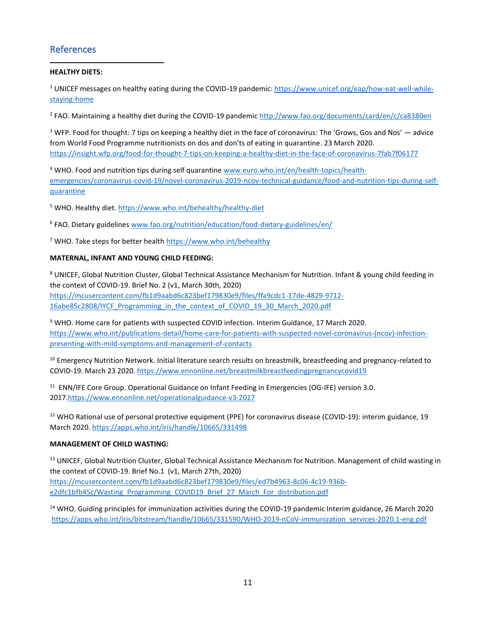### References

#### **HEALTHY DIETS:**

<sup>1</sup> UNICEF messages on healthy eating during the COVID-19 pandemic[: https://www.unicef.org/eap/how-eat-well-while](https://www.unicef.org/eap/how-eat-well-while-staying-home)[staying-home](https://www.unicef.org/eap/how-eat-well-while-staying-home)

<sup>2</sup> FAO. Maintaining a healthy diet during the COVID-19 pandemi[c http://www.fao.org/documents/card/en/c/ca8380en](http://www.fao.org/documents/card/en/c/ca8380en)

 $3$  WFP. Food for thought: 7 tips on keeping a healthy diet in the face of coronavirus: The 'Grows, Gos and Nos'  $-$  advice from World Food Programme nutritionists on dos and don'ts of eating in quarantine. 23 March 2020. <https://insight.wfp.org/food-for-thought-7-tips-on-keeping-a-healthy-diet-in-the-face-of-coronavirus-7fab7f06177>

<sup>4</sup> WHO. Food and nutrition tips during self quarantin[e www.euro.who.int/en/health-topics/health](http://www.euro.who.int/en/health-topics/health-emergencies/coronavirus-covid-19/novel-coronavirus-2019-ncov-technical-guidance/food-and-nutrition-tips-during-self-quarantine)[emergencies/coronavirus-covid-19/novel-coronavirus-2019-ncov-technical-guidance/food-and-nutrition-tips-during-self](http://www.euro.who.int/en/health-topics/health-emergencies/coronavirus-covid-19/novel-coronavirus-2019-ncov-technical-guidance/food-and-nutrition-tips-during-self-quarantine)[quarantine](http://www.euro.who.int/en/health-topics/health-emergencies/coronavirus-covid-19/novel-coronavirus-2019-ncov-technical-guidance/food-and-nutrition-tips-during-self-quarantine)

<sup>5</sup> WHO. Healthy diet[. https://www.who.int/behealthy/healthy-diet](https://www.who.int/behealthy/healthy-diet)

<sup>6</sup> FAO. Dietary guideline[s www.fao.org/nutrition/education/food-dietary-guidelines/en/](http://www.fao.org/nutrition/education/food-dietary-guidelines/en/)

<sup>7</sup> WHO. Take steps for better health<https://www.who.int/behealthy>

#### **MATERNAL, INFANT AND YOUNG CHILD FEEDING:**

<sup>8</sup> UNICEF, Global Nutrition Cluster, Global Technical Assistance Mechanism for Nutrition. Infant & young child feeding in the context of COVID-19. Brief No. 2 (v1, March 30th, 2020)

[https://mcusercontent.com/fb1d9aabd6c823bef179830e9/files/ffa9cdc1-17de-4829-9712-](https://mcusercontent.com/fb1d9aabd6c823bef179830e9/files/ffa9cdc1-17de-4829-9712-16abe85c2808/IYCF_Programming_in_the_context_of_COVID_19_30_March_2020.pdf) [16abe85c2808/IYCF\\_Programming\\_in\\_the\\_context\\_of\\_COVID\\_19\\_30\\_March\\_2020.pdf](https://mcusercontent.com/fb1d9aabd6c823bef179830e9/files/ffa9cdc1-17de-4829-9712-16abe85c2808/IYCF_Programming_in_the_context_of_COVID_19_30_March_2020.pdf)

<sup>9</sup> WHO. Home care for patients with suspected COVID infection. Interim Guidance, 17 March 2020. [https://www.who.int/publications-detail/home-care-for-patients-with-suspected-novel-coronavirus-\(ncov\)-infection](https://www.who.int/publications-detail/home-care-for-patients-with-suspected-novel-coronavirus-(ncov)-infection-presenting-with-mild-symptoms-and-management-of-contacts)[presenting-with-mild-symptoms-and-management-of-contacts](https://www.who.int/publications-detail/home-care-for-patients-with-suspected-novel-coronavirus-(ncov)-infection-presenting-with-mild-symptoms-and-management-of-contacts)

<sup>10</sup> Emergency Nutrition Network. Initial literature search results on breastmilk, breastfeeding and pregnancy-related to COVID-19. March 23 2020.<https://www.ennonline.net/breastmilkbreastfeedingpregnancycovid19>

<sup>11</sup> ENN/IFE Core Group. Operational Guidance on Infant Feeding in Emergencies (OG-IFE) version 3.0. 2017[.https://www.ennonline.net/operationalguidance-v3-2017](https://www.ennonline.net/operationalguidance-v3-2017)

 $12$  WHO Rational use of personal protective equipment (PPE) for coronavirus disease (COVID-19): interim guidance, 19 March 2020[. https://apps.who.int/iris/handle/10665/331498](https://apps.who.int/iris/handle/10665/331498)

#### **MANAGEMENT OF CHILD WASTING:**

<sup>13</sup> UNICEF, Global Nutrition Cluster, Global Technical Assistance Mechanism for Nutrition. Management of child wasting in the context of COVID-19. Brief No.1 (v1, March 27th, 2020)

[https://mcusercontent.com/fb1d9aabd6c823bef179830e9/files/ed7b4963-8c06-4c19-936b](https://mcusercontent.com/fb1d9aabd6c823bef179830e9/files/ed7b4963-8c06-4c19-936b-e2dfc1bfb45c/Wasting_Programming_COVID19_Brief_27_March_For_distribution.pdf)[e2dfc1bfb45c/Wasting\\_Programming\\_COVID19\\_Brief\\_27\\_March\\_For\\_distribution.pdf](https://mcusercontent.com/fb1d9aabd6c823bef179830e9/files/ed7b4963-8c06-4c19-936b-e2dfc1bfb45c/Wasting_Programming_COVID19_Brief_27_March_For_distribution.pdf)

<sup>14</sup> WHO. Guiding principles for immunization activities during the COVID-19 pandemic Interim guidance, 26 March 2020 [https://apps.who.int/iris/bitstream/handle/10665/331590/WHO-2019-nCoV-immunization\\_services-2020.1-eng.pdf](https://apps.who.int/iris/bitstream/handle/10665/331590/WHO-2019-nCoV-immunization_services-2020.1-eng.pdf)